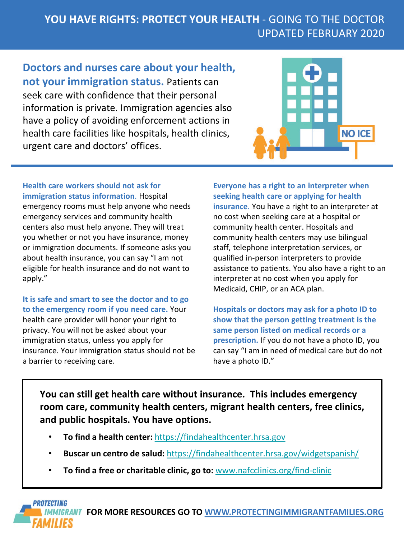## **YOU HAVE RIGHTS: PROTECT YOUR HEALTH** - GOING TO THE DOCTOR UPDATED FEBRUARY 2020

**Doctors and nurses care about your health, not your immigration status.** Patients can seek care with confidence that their personal information is private. Immigration agencies also have a policy of avoiding enforcement actions in health care facilities like hospitals, health clinics, urgent care and doctors' offices.



**Health care workers should not ask for immigration status information**. Hospital emergency rooms must help anyone who needs emergency services and community health centers also must help anyone. They will treat you whether or not you have insurance, money or immigration documents. If someone asks you about health insurance, you can say "I am not eligible for health insurance and do not want to apply."

**It is safe and smart to see the doctor and to go to the emergency room if you need care.** Your health care provider will honor your right to privacy. You will not be asked about your immigration status, unless you apply for insurance. Your immigration status should not be a barrier to receiving care.

**Everyone has a right to an interpreter when seeking health care or applying for health insurance**. You have a right to an interpreter at no cost when seeking care at a hospital or community health center. Hospitals and community health centers may use bilingual staff, telephone interpretation services, or qualified in-person interpreters to provide assistance to patients. You also have a right to an interpreter at no cost when you apply for Medicaid, CHIP, or an ACA plan.

**Hospitals or doctors may ask for a photo ID to show that the person getting treatment is the same person listed on medical records or a prescription.** If you do not have a photo ID, you can say "I am in need of medical care but do not have a photo ID."

**You can still get health care without insurance. This includes emergency room care, community health centers, migrant health centers, free clinics, and public hospitals. You have options.**

- **To find a health center:** [https://findahealthcenter.hrsa.gov](https://findahealthcenter.hrsa.gov/)
- **Buscar un centro de salud:** <https://findahealthcenter.hrsa.gov/widgetspanish/>
- **To find a free or charitable clinic, go to:** [www.nafcclinics.org/find-clinic](http://www.nafcclinics.org/find-clinic)